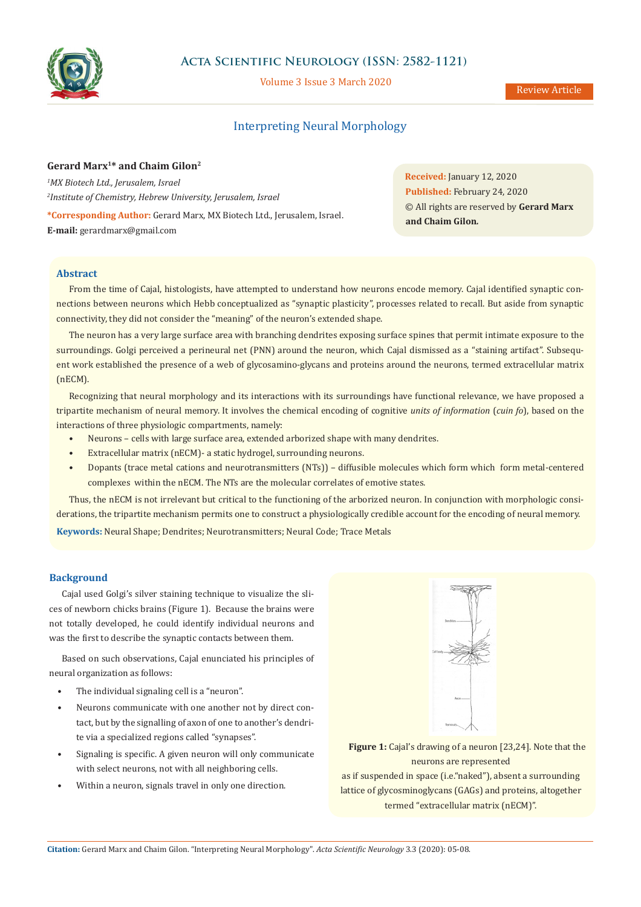

# **Acta Scientific Neurology (ISSN: 2582-1121)**

Volume 3 Issue 3 March 2020

## Review Article

# Interpreting Neural Morphology

## **Gerard Marx1\* and Chaim Gilon2**

*1 MX Biotech Ltd., Jerusalem, Israel 2 Institute of Chemistry, Hebrew University, Jerusalem, Israel* **\*Corresponding Author:** Gerard Marx, MX Biotech Ltd., Jerusalem, Israel. **E-mail:** [gerardmarx@gmail.com](mailto:gerardmarx%40gmail.com?subject=)

**Received:** January 12, 2020 **Published:** February 24, 2020 © All rights are reserved by **Gerard Marx and Chaim Gilon***.*

## **Abstract**

From the time of Cajal, histologists, have attempted to understand how neurons encode memory. Cajal identified synaptic connections between neurons which Hebb conceptualized as "synaptic plasticity", processes related to recall. But aside from synaptic connectivity, they did not consider the "meaning" of the neuron's extended shape.

The neuron has a very large surface area with branching dendrites exposing surface spines that permit intimate exposure to the surroundings. Golgi perceived a perineural net (PNN) around the neuron, which Cajal dismissed as a "staining artifact". Subsequent work established the presence of a web of glycosamino-glycans and proteins around the neurons, termed extracellular matrix (nECM).

Recognizing that neural morphology and its interactions with its surroundings have functional relevance, we have proposed a tripartite mechanism of neural memory. It involves the chemical encoding of cognitive *units of information* (*cuin fo*), based on the interactions of three physiologic compartments, namely:

- Neurons cells with large surface area, extended arborized shape with many dendrites.
- Extracellular matrix (nECM)- a static hydrogel, surrounding neurons.
- Dopants (trace metal cations and neurotransmitters (NTs)) diffusible molecules which form which form metal-centered complexes within the nECM. The NTs are the molecular correlates of emotive states.

**Keywords:** Neural Shape; Dendrites; Neurotransmitters; Neural Code; Trace Metals Thus, the nECM is not irrelevant but critical to the functioning of the arborized neuron. In conjunction with morphologic considerations, the tripartite mechanism permits one to construct a physiologically credible account for the encoding of neural memory.

## **Background**

Cajal used Golgi's silver staining technique to visualize the slices of newborn chicks brains (Figure 1). Because the brains were not totally developed, he could identify individual neurons and was the first to describe the synaptic contacts between them.

Based on such observations, Cajal enunciated his principles of neural organization as follows:

- The individual signaling cell is a "neuron".
- Neurons communicate with one another not by direct contact, but by the signalling of axon of one to another's dendrite via a specialized regions called "synapses".
- Signaling is specific. A given neuron will only communicate with select neurons, not with all neighboring cells.
- Within a neuron, signals travel in only one direction.



**Figure 1:** Cajal's drawing of a neuron [23,24]. Note that the neurons are represented as if suspended in space (i.e."naked"), absent a surrounding lattice of glycosminoglycans (GAGs) and proteins, altogether termed "extracellular matrix (nECM)".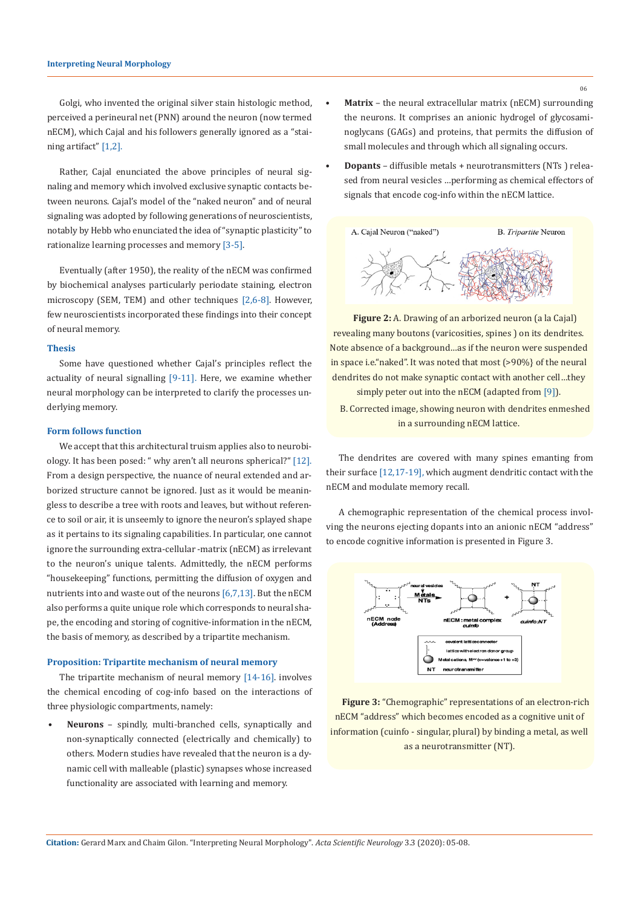Golgi, who invented the original silver stain histologic method, perceived a perineural net (PNN) around the neuron (now termed nECM), which Cajal and his followers generally ignored as a "staining artifact" [1,2].

Rather, Cajal enunciated the above principles of neural signaling and memory which involved exclusive synaptic contacts between neurons. Cajal's model of the "naked neuron" and of neural signaling was adopted by following generations of neuroscientists, notably by Hebb who enunciated the idea of "synaptic plasticity" to rationalize learning processes and memory [3-5].

Eventually (after 1950), the reality of the nECM was confirmed by biochemical analyses particularly periodate staining, electron microscopy (SEM, TEM) and other techniques [2,6-8]. However, few neuroscientists incorporated these findings into their concept of neural memory.

## **Thesis**

Some have questioned whether Cajal's principles reflect the actuality of neural signalling [9-11]. Here, we examine whether neural morphology can be interpreted to clarify the processes underlying memory.

#### **Form follows function**

We accept that this architectural truism applies also to neurobiology. It has been posed: " why aren't all neurons spherical?" [12]. From a design perspective, the nuance of neural extended and arborized structure cannot be ignored. Just as it would be meaningless to describe a tree with roots and leaves, but without reference to soil or air, it is unseemly to ignore the neuron's splayed shape as it pertains to its signaling capabilities. In particular, one cannot ignore the surrounding extra-cellular -matrix (nECM) as irrelevant to the neuron's unique talents. Admittedly, the nECM performs "housekeeping" functions, permitting the diffusion of oxygen and nutrients into and waste out of the neurons [6,7,13]. But the nECM also performs a quite unique role which corresponds to neural shape, the encoding and storing of cognitive-information in the nECM, the basis of memory, as described by a tripartite mechanism.

### **Proposition: Tripartite mechanism of neural memory**

The tripartite mechanism of neural memory [14-16]. involves the chemical encoding of cog-info based on the interactions of three physiologic compartments, namely:

**• Neurons** – spindly, multi-branched cells, synaptically and non-synaptically connected (electrically and chemically) to others. Modern studies have revealed that the neuron is a dynamic cell with malleable (plastic) synapses whose increased functionality are associated with learning and memory.

- **• Matrix** the neural extracellular matrix (nECM) surrounding the neurons. It comprises an anionic hydrogel of glycosaminoglycans (GAGs) and proteins, that permits the diffusion of small molecules and through which all signaling occurs.
- **• Dopants** diffusible metals + neurotransmitters (NTs ) released from neural vesicles …performing as chemical effectors of signals that encode cog-info within the nECM lattice.



**Figure 2:** A. Drawing of an arborized neuron (a la Cajal) revealing many boutons (varicosities, spines ) on its dendrites. Note absence of a background…as if the neuron were suspended in space i.e."naked". It was noted that most (>90%} of the neural dendrites do not make synaptic contact with another cell…they simply peter out into the nECM (adapted from [9]).

B. Corrected image, showing neuron with dendrites enmeshed in a surrounding nECM lattice.

The dendrites are covered with many spines emanting from their surface [12,17-19], which augment dendritic contact with the nECM and modulate memory recall.

A chemographic representation of the chemical process involving the neurons ejecting dopants into an anionic nECM "address" to encode cognitive information is presented in Figure 3.



**Figure 3:** "Chemographic" representations of an electron-rich nECM "address" which becomes encoded as a cognitive unit of information (cuinfo - singular, plural) by binding a metal, as well as a neurotransmitter (NT).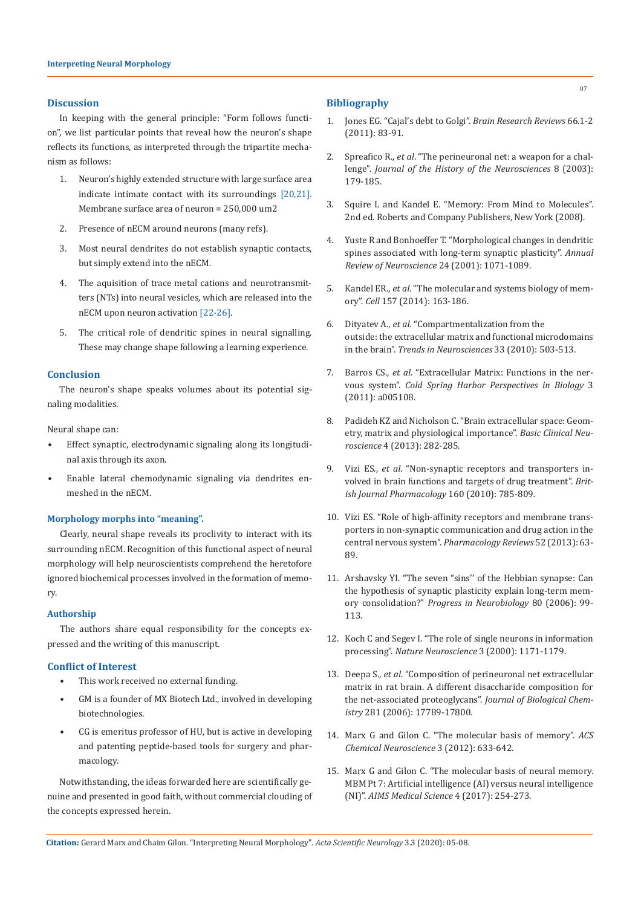#### **Discussion**

In keeping with the general principle: "Form follows function", we list particular points that reveal how the neuron's shape reflects its functions, as interpreted through the tripartite mechanism as follows:

- 1. Neuron's highly extended structure with large surface area indicate intimate contact with its surroundings [20,21]. Membrane surface area of neuron = 250,000 um2
- 2. Presence of nECM around neurons (many refs).
- 3. Most neural dendrites do not establish synaptic contacts, but simply extend into the nECM.
- 4. The aquisition of trace metal cations and neurotransmitters (NTs) into neural vesicles, which are released into the nECM upon neuron activation [22-26].
- 5. The critical role of dendritic spines in neural signalling. These may change shape following a learning experience.

#### **Conclusion**

The neuron's shape speaks volumes about its potential signaling modalities.

Neural shape can:

- Effect synaptic, electrodynamic signaling along its longitudinal axis through its axon.
- Enable lateral chemodynamic signaling via dendrites enmeshed in the nECM.

#### **Morphology morphs into "meaning".**

Clearly, neural shape reveals its proclivity to interact with its surrounding nECM. Recognition of this functional aspect of neural morphology will help neuroscientists comprehend the heretofore ignored biochemical processes involved in the formation of memory.

#### **Authorship**

The authors share equal responsibility for the concepts expressed and the writing of this manuscript.

#### **Conflict of Interest**

- This work received no external funding.
- GM is a founder of MX Biotech Ltd., involved in developing biotechnologies.
- CG is emeritus professor of HU, but is active in developing and patenting peptide-based tools for surgery and pharmacology.

Notwithstanding, the ideas forwarded here are scientifically genuine and presented in good faith, without commercial clouding of the concepts expressed herein.

#### **Bibliography**

- 1. [Jones EG. "Cajal's debt to Golgi".](https://www.ncbi.nlm.nih.gov/pubmed/20406656) *Brain Research Reviews* 66.1-2 [\(2011\): 83-91.](https://www.ncbi.nlm.nih.gov/pubmed/20406656)
- 2. Spreafico R., *et al*[. "The perineuronal net: a weapon for a chal](https://www.ncbi.nlm.nih.gov/pubmed/11624299)lenge". *[Journal of the History of the Neurosciences](https://www.ncbi.nlm.nih.gov/pubmed/11624299)* 8 (2003): [179-185.](https://www.ncbi.nlm.nih.gov/pubmed/11624299)
- 3. Squire L and Kandel E. "Memory: From Mind to Molecules". 2nd ed. Roberts and Company Publishers, New York (2008).
- 4. [Yuste R and Bonhoeffer T. "Morphological changes in dendritic](https://www.ncbi.nlm.nih.gov/pubmed/11520928)  [spines associated with long-term synaptic plasticity".](https://www.ncbi.nlm.nih.gov/pubmed/11520928) *Annual [Review of Neuroscience](https://www.ncbi.nlm.nih.gov/pubmed/11520928)* 24 (2001): 1071-1089.
- 5. Kandel ER., *et al*[. "The molecular and systems biology of mem](https://www.ncbi.nlm.nih.gov/pubmed/24679534)ory". *Cell* [157 \(2014\): 163-186.](https://www.ncbi.nlm.nih.gov/pubmed/24679534)
- 6. Dityatev A., *et al*[. "Compartmentalization from the](https://www.ncbi.nlm.nih.gov/pubmed/20832873)  [outside: the extracellular matrix and functional microdomains](https://www.ncbi.nlm.nih.gov/pubmed/20832873)  in the brain". *[Trends in Neurosciences](https://www.ncbi.nlm.nih.gov/pubmed/20832873)* 33 (2010): 503-513.
- 7. Barros CS., *et al*[. "Extracellular Matrix: Functions in the ner](https://www.ncbi.nlm.nih.gov/pubmed/21123393)vous system". *[Cold Spring Harbor Perspectives in Biology](https://www.ncbi.nlm.nih.gov/pubmed/21123393)* 3 [\(2011\): a005108.](https://www.ncbi.nlm.nih.gov/pubmed/21123393)
- 8. [Padideh KZ and Nicholson C. "Brain extracellular space: Geom](https://www.ncbi.nlm.nih.gov/pmc/articles/PMC4202579/)[etry, matrix and physiological importance".](https://www.ncbi.nlm.nih.gov/pmc/articles/PMC4202579/) *Basic Clinical Neuroscience* [4 \(2013\): 282-285.](https://www.ncbi.nlm.nih.gov/pmc/articles/PMC4202579/)
- 9. Vizi ES., *et al*[. "Non-synaptic receptors and transporters in](https://www.ncbi.nlm.nih.gov/pubmed/20136842)[volved in brain functions and targets of drug treatment".](https://www.ncbi.nlm.nih.gov/pubmed/20136842) *Brit[ish Journal Pharmacology](https://www.ncbi.nlm.nih.gov/pubmed/20136842)* 160 (2010): 785-809.
- 10. [Vizi ES. "Role of high-affinity receptors and membrane trans](http://pharmrev.aspetjournals.org/content/52/1/63/F1)[porters in non-synaptic communication and drug action in the](http://pharmrev.aspetjournals.org/content/52/1/63/F1)  central nervous system". *[Pharmacology Reviews](http://pharmrev.aspetjournals.org/content/52/1/63/F1)* 52 (2013): 63- [89.](http://pharmrev.aspetjournals.org/content/52/1/63/F1)
- 11. [Arshavsky YI. "The seven "sins'' of the Hebbian synapse: Can](https://www.ncbi.nlm.nih.gov/pubmed/17074430)  [the hypothesis of synaptic plasticity explain long-term mem](https://www.ncbi.nlm.nih.gov/pubmed/17074430)ory consolidation?" *[Progress in Neurobiology](https://www.ncbi.nlm.nih.gov/pubmed/17074430)* 80 (2006): 99- [113.](https://www.ncbi.nlm.nih.gov/pubmed/17074430)
- 12. [Koch C and Segev I. "The role of single neurons in information](https://www.researchgate.net/publication/12200737_The_role_of_single_neurons_in_information_processing)  processing". *[Nature Neuroscience](https://www.researchgate.net/publication/12200737_The_role_of_single_neurons_in_information_processing)* 3 (2000): 1171-1179.
- 13. Deepa S., *et al*[. "Composition of perineuronal net extracellular](https://www.ncbi.nlm.nih.gov/pubmed/16644727)  [matrix in rat brain. A different disaccharide composition for](https://www.ncbi.nlm.nih.gov/pubmed/16644727)  [the net-associated proteoglycans".](https://www.ncbi.nlm.nih.gov/pubmed/16644727) *Journal of Biological Chemistry* [281 \(2006\): 17789-17800.](https://www.ncbi.nlm.nih.gov/pubmed/16644727)
- 14. [Marx G and Gilon C. "The molecular basis of memory".](https://www.ncbi.nlm.nih.gov/pubmed/23050060) *ACS [Chemical Neuroscience](https://www.ncbi.nlm.nih.gov/pubmed/23050060)* 3 (2012): 633-642.
- 15. [Marx G and Gilon C. "The molecular basis of neural memory.](https://www.aimspress.com/fileOther/PDF/medicalScience/medsci-04-000241.pdf)  [MBM Pt 7: Artificial intelligence \(AI\) versus neural intelligence](https://www.aimspress.com/fileOther/PDF/medicalScience/medsci-04-000241.pdf)  (NI)". *[AIMS Medical Science](https://www.aimspress.com/fileOther/PDF/medicalScience/medsci-04-000241.pdf)* 4 (2017): 254-273.

**Citation:** Gerard Marx and Chaim Gilon. "Interpreting Neural Morphology". *Acta Scientific Neurology* 3.3 (2020): 05-08.